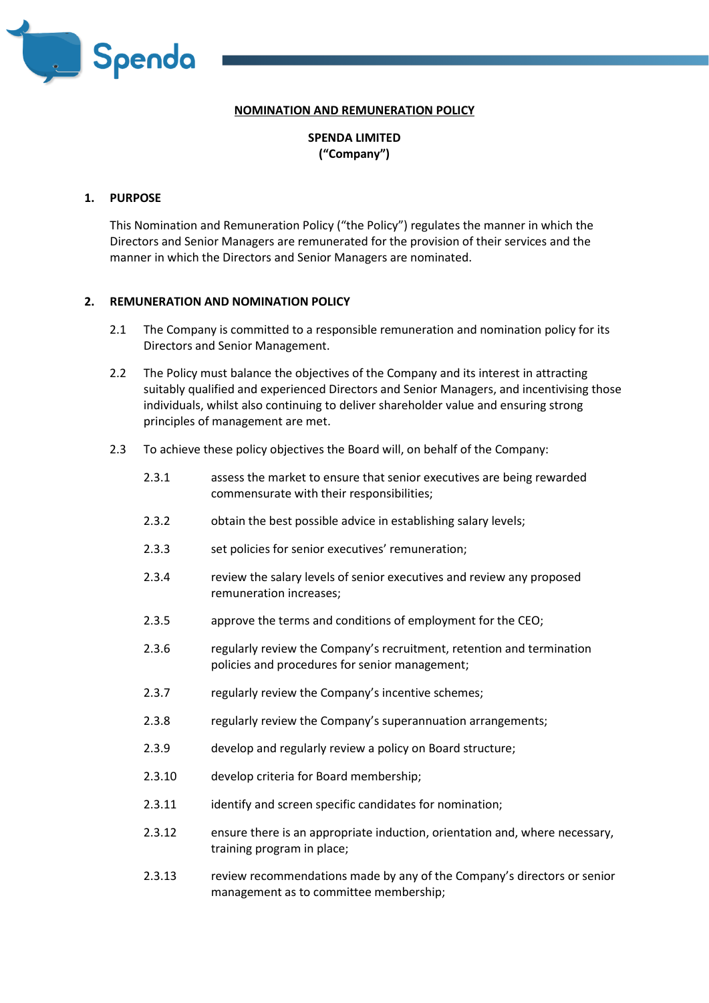

# **NOMINATION AND REMUNERATION POLICY**

**SPENDA LIMITED ("Company")** 

### **1. PURPOSE**

This Nomination and Remuneration Policy ("the Policy") regulates the manner in which the Directors and Senior Managers are remunerated for the provision of their services and the manner in which the Directors and Senior Managers are nominated.

## **2. REMUNERATION AND NOMINATION POLICY**

- 2.1 The Company is committed to a responsible remuneration and nomination policy for its Directors and Senior Management.
- 2.2 The Policy must balance the objectives of the Company and its interest in attracting suitably qualified and experienced Directors and Senior Managers, and incentivising those individuals, whilst also continuing to deliver shareholder value and ensuring strong principles of management are met.
- 2.3 To achieve these policy objectives the Board will, on behalf of the Company:
	- 2.3.1 assess the market to ensure that senior executives are being rewarded commensurate with their responsibilities;
	- 2.3.2 obtain the best possible advice in establishing salary levels;
	- 2.3.3 set policies for senior executives' remuneration;
	- 2.3.4 review the salary levels of senior executives and review any proposed remuneration increases;
	- 2.3.5 approve the terms and conditions of employment for the CEO;
	- 2.3.6 regularly review the Company's recruitment, retention and termination policies and procedures for senior management;
	- 2.3.7 regularly review the Company's incentive schemes;
	- 2.3.8 regularly review the Company's superannuation arrangements;
	- 2.3.9 develop and regularly review a policy on Board structure;
	- 2.3.10 develop criteria for Board membership;
	- 2.3.11 identify and screen specific candidates for nomination;
	- 2.3.12 ensure there is an appropriate induction, orientation and, where necessary, training program in place;
	- 2.3.13 review recommendations made by any of the Company's directors or senior management as to committee membership;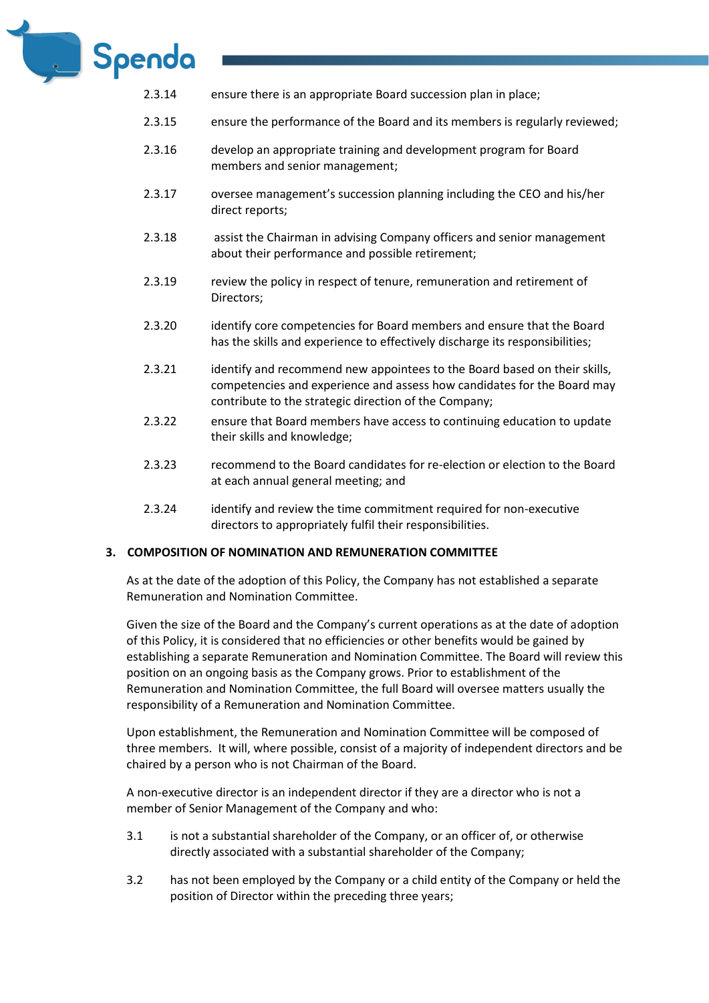

- 2.3.14 ensure there is an appropriate Board succession plan in place;
- 2.3.15 ensure the performance of the Board and its members is regularly reviewed;
- 2.3.16 develop an appropriate training and development program for Board members and senior management;
- 2.3.17 oversee management's succession planning including the CEO and his/her direct reports;
- 2.3.18 assist the Chairman in advising Company officers and senior management about their performance and possible retirement;
- 2.3.19 review the policy in respect of tenure, remuneration and retirement of Directors;
- 2.3.20 identify core competencies for Board members and ensure that the Board has the skills and experience to effectively discharge its responsibilities;
- 2.3.21 identify and recommend new appointees to the Board based on their skills, competencies and experience and assess how candidates for the Board may contribute to the strategic direction of the Company;
- 2.3.22 ensure that Board members have access to continuing education to update their skills and knowledge;
- 2.3.23 recommend to the Board candidates for re-election or election to the Board at each annual general meeting; and
- 2.3.24 identify and review the time commitment required for non-executive directors to appropriately fulfil their responsibilities.

## **3. COMPOSITION OF NOMINATION AND REMUNERATION COMMITTEE**

As at the date of the adoption of this Policy, the Company has not established a separate Remuneration and Nomination Committee.

Given the size of the Board and the Company's current operations as at the date of adoption of this Policy, it is considered that no efficiencies or other benefits would be gained by establishing a separate Remuneration and Nomination Committee. The Board will review this position on an ongoing basis as the Company grows. Prior to establishment of the Remuneration and Nomination Committee, the full Board will oversee matters usually the responsibility of a Remuneration and Nomination Committee.

Upon establishment, the Remuneration and Nomination Committee will be composed of three members. It will, where possible, consist of a majority of independent directors and be chaired by a person who is not Chairman of the Board.

A non-executive director is an independent director if they are a director who is not a member of Senior Management of the Company and who:

- 3.1 is not a substantial shareholder of the Company, or an officer of, or otherwise directly associated with a substantial shareholder of the Company;
- 3.2 has not been employed by the Company or a child entity of the Company or held the position of Director within the preceding three years;